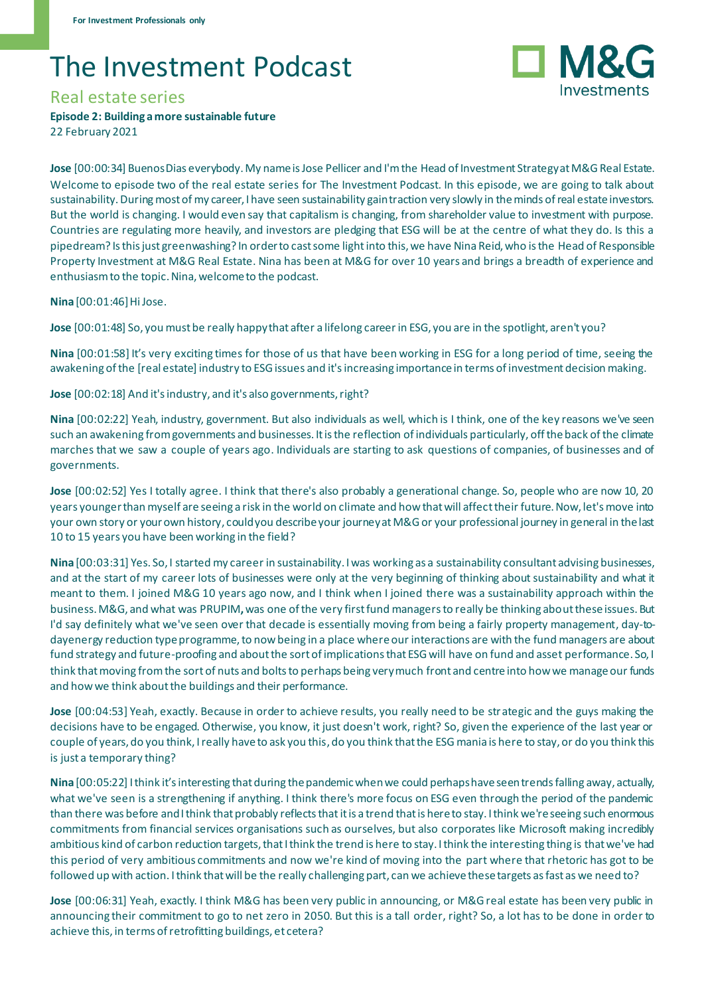## The Investment Podcast



## Real estate series

**Episode 2: Building a more sustainable future**

22 February 2021

**Jose** [00:00:34] Buenos Dias everybody. My name is Jose Pellicer and I'm the Head of Investment Strategy at M&G Real Estate. Welcome to episode two of the real estate series for The Investment Podcast. In this episode, we are going to talk about sustainability. During most of my career, I have seen sustainability gain traction very slowly in the minds of real estate investors. But the world is changing. I would even say that capitalism is changing, from shareholder value to investment with purpose. Countries are regulating more heavily, and investors are pledging that ESG will be at the centre of what they do. Is this a pipedream? Is this just greenwashing? In order to cast some light into this, we have Nina Reid, who is the Head of Responsible Property Investment at M&G Real Estate. Nina has been at M&G for over 10 years and brings a breadth of experience and enthusiasm to the topic. Nina, welcome to the podcast.

**Nina** [00:01:46] Hi Jose.

**Jose** [00:01:48] So, you must be really happy that after a lifelong careerin ESG, you are in the spotlight, aren't you?

**Nina** [00:01:58] It's very exciting times for those of us that have been working in ESG for a long period of time, seeing the awakening of the [real estate] industry to ESG issues and it's increasing importance in terms of investment decision making.

**Jose** [00:02:18] And it's industry, and it's also governments, right?

**Nina** [00:02:22] Yeah, industry, government. But also individuals as well, which is I think, one of the key reasons we've seen such an awakening from governments and businesses. It is the reflection of individuals particularly, off the back of the climate marches that we saw a couple of years ago. Individuals are starting to ask questions of companies, of businesses and of governments.

**Jose** [00:02:52] Yes I totally agree. I think that there's also probably a generational change. So, people who are now 10, 20 years younger than myself are seeing a risk in the world on climate and how that will affect their future. Now, let's move into your own story or your own history, could you describe your journey at M&G or your professional journey in general in the last 10 to 15 years you have been working in the field?

**Nina** [00:03:31] Yes. So, I started my career in sustainability. I was working as a sustainability consultant advising businesses, and at the start of my career lots of businesses were only at the very beginning of thinking about sustainability and what it meant to them. I joined M&G 10 years ago now, and I think when I joined there was a sustainability approach within the business. M&G, and what was PRUPIM**,**was one of the very first fund managers to really be thinking about these issues. But I'd say definitely what we've seen over that decade is essentially moving from being a fairly property management, day-todayenergy reduction type programme, to now being in a place where our interactions are with the fund managers are about fund strategy and future-proofing and about the sort of implications that ESG will have on fund and asset performance. So, I think that moving from the sort of nuts and bolts to perhaps being very much front and centre into how we manage our funds and how we think about the buildings and their performance.

**Jose** [00:04:53] Yeah, exactly. Because in order to achieve results, you really need to be strategic and the guys making the decisions have to be engaged. Otherwise, you know, it just doesn't work, right? So, given the experience of the last year or couple of years, do you think, I really have to ask you this, do you think that the ESG mania is here to stay, or do you think this is just a temporary thing?

**Nina** [00:05:22] I think it's interesting thatduring the pandemic whenwe could perhaps have seentrends falling away, actually, what we've seen is a strengthening if anything. I think there's more focus on ESG even through the period of the pandemic than there was before and I think that probably reflects that it is a trend that is here to stay. I think we're seeing such enormous commitments from financial services organisations such as ourselves, but also corporates like Microsoft making incredibly ambitious kind of carbon reduction targets, that I think the trend is here to stay. I think the interesting thing is that we've had this period of very ambitious commitments and now we're kind of moving into the part where that rhetoric has got to be followed up with action. I think that will be the really challenging part, can we achieve these targets as fast as we need to?

**Jose** [00:06:31] Yeah, exactly. I think M&G has been very public in announcing, or M&G real estate has been very public in announcing their commitment to go to net zero in 2050. But this is a tall order, right? So, a lot has to be done in order to achieve this, in terms of retrofitting buildings, et cetera?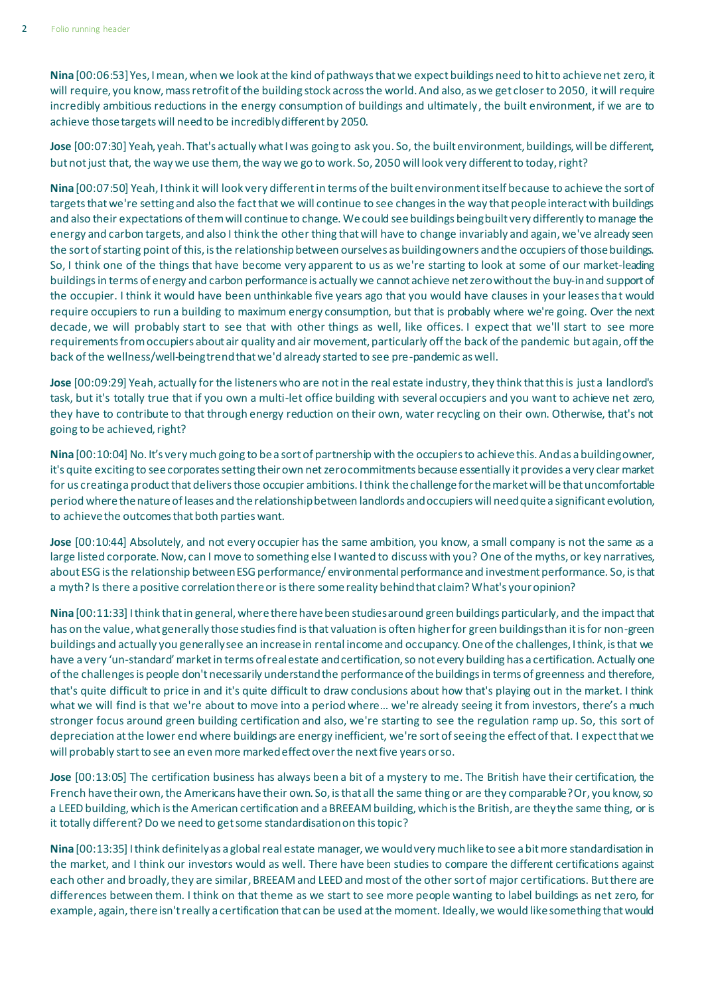**Nina** [00:06:53] Yes, I mean, when we look at the kind of pathways that we expect buildings need to hit to achieve net zero, it will require, you know, mass retrofit of the building stock across the world. And also, as we get closer to 2050, it will require incredibly ambitious reductions in the energy consumption of buildings and ultimately, the built environment, if we are to achieve those targets will need to be incredibly different by 2050.

**Jose** [00:07:30] Yeah, yeah. That's actually what I was going to ask you. So, the built environment, buildings, will be different, but not just that, the way we use them, the way we go to work. So, 2050 will look very different to today, right?

**Nina** [00:07:50] Yeah, I think it will look very different in terms of the built environment itself because to achieve the sort of targets that we're setting and also the fact that we will continue to see changes in the way that people interact with buildings and also their expectations of them will continue to change. We could see buildings being built very differently to manage the energy and carbon targets, and also I think the other thing that will have to change invariably and again, we've already seen the sort of starting point of this, is the relationshipbetween ourselves as building owners and the occupiers of those buildings. So, I think one of the things that have become very apparent to us as we're starting to look at some of our market-leading buildingsin terms of energy and carbon performance is actually we cannot achieve netzero without the buy-in and support of the occupier. I think it would have been unthinkable five years ago that you would have clauses in your leases that would require occupiers to run a building to maximum energy consumption, but that is probably where we're going. Over the next decade, we will probably start to see that with other things as well, like offices. I expect that we'll start to see more requirements from occupiers about air quality and air movement, particularly off the back of the pandemic but again, off the back of the wellness/well-being trend that we'd already started to see pre-pandemic as well.

**Jose** [00:09:29] Yeah, actually for the listeners who are not in the real estate industry, they think that this is just a landlord's task, but it's totally true that if you own a multi-let office building with several occupiers and you want to achieve net zero, they have to contribute to that through energy reduction on their own, water recycling on their own. Otherwise, that's not going to be achieved, right?

**Nina** [00:10:04] No. It's very much going to be a sort of partnership with the occupiers to achieve this. And as a building owner, it's quite exciting to see corporates setting their own net zero commitments because essentially it provides a very clear market for us creating a product that delivers those occupier ambitions. I think the challenge for the market will be that uncomfortable period where the nature of leases and the relationship between landlords and occupiers will need quite a significant evolution, to achieve the outcomes that both parties want.

**Jose** [00:10:44] Absolutely, and not every occupier has the same ambition, you know, a small company is not the same as a large listed corporate. Now, can I move to something else I wanted to discuss with you? One of the myths, or key narratives, about ESG is the relationship between ESG performance/ environmental performance and investment performance. So, is that a myth? Is there a positive correlation there or is there some reality behind that claim? What's your opinion?

**Nina** [00:11:33] I think that in general, where there have been studies around green buildings particularly, and the impact that has on the value, what generally those studies find is that valuation is often higher for green buildings than it is for non-green buildings and actually you generally see an increase in rental income and occupancy. One of the challenges, I think, is that we have a very 'un-standard' market in terms of real estate and certification, so not every building has a certification. Actually one of the challenges is people don't necessarily understand the performance of the buildings in terms of greenness and therefore, that's quite difficult to price in and it's quite difficult to draw conclusions about how that's playing out in the market. I think what we will find is that we're about to move into a period where… we're already seeing it from investors, there's a much stronger focus around green building certification and also, we're starting to see the regulation ramp up. So, this sort of depreciation at the lower end where buildings are energy inefficient, we're sort of seeing the effect of that. I expect that we will probably start to see an even more marked effect over the next five years or so.

**Jose** [00:13:05] The certification business has always been a bit of a mystery to me. The British have their certification, the French have their own, the Americans have their own. So, is that all the same thing or are they comparable? Or, you know, so a LEED building, which is the American certification and a BREEAM building, which is the British, are they the same thing, or is it totally different? Do we need to get some standardisation on this topic?

**Nina** [00:13:35] I think definitelyas a global real estate manager, we would very much like to see a bit more standardisation in the market, and I think our investors would as well. There have been studies to compare the different certifications against each other and broadly, they are similar, BREEAM and LEED and most of the other sort of major certifications. Butthere are differences between them. I think on that theme as we start to see more people wanting to label buildings as net zero, for example, again, there isn't really a certification that can be used at the moment. Ideally, we would like something that would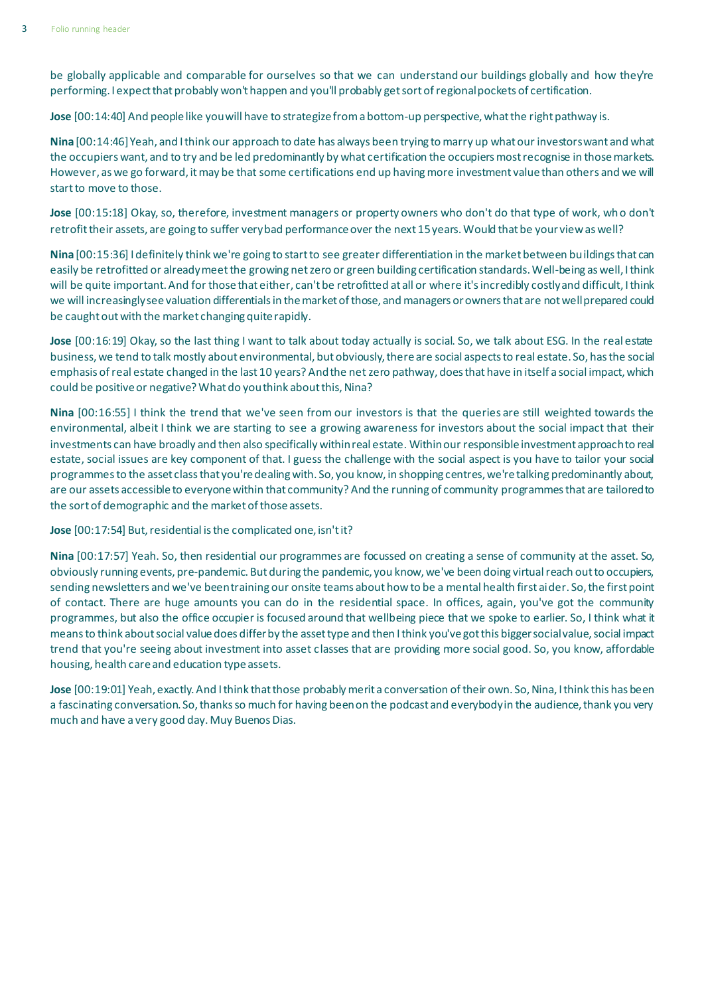be globally applicable and comparable for ourselves so that we can understand our buildings globally and how they're performing. I expect that probably won't happen and you'll probably get sort of regional pockets of certification.

**Jose** [00:14:40] And people like you will have to strategize from a bottom-up perspective, what the right pathway is.

**Nina** [00:14:46] Yeah, and I think our approach to date has always been trying to marry up what our investors want and what the occupiers want, and to try and be led predominantly by what certification the occupiers most recognise in those markets. However, as we go forward, it may be that some certifications end up having more investment value than others and we will start to move to those.

**Jose** [00:15:18] Okay, so, therefore, investment managers or property owners who don't do that type of work, who don't retrofit their assets, are going to suffer very bad performance over the next 15 years. Would that be your view as well?

**Nina** [00:15:36] I definitely think we're going to start to see greater differentiation in the market between buildings that can easily be retrofitted or already meet the growing netzero or green building certification standards. Well-being as well, I think will be quite important. And for those that either, can't be retrofitted at all or where it'sincredibly costly and difficult, I think we will increasingly see valuation differentials in the market of those, and managers or owners that are not well prepared could be caught out with the market changing quite rapidly.

**Jose** [00:16:19] Okay, so the last thing I want to talk about today actually is social. So, we talk about ESG. In the real estate business, we tend to talk mostly about environmental, but obviously, there are social aspects to real estate. So, has the social emphasis of real estate changed in the last 10 years? And the netzero pathway, does that have in itself a social impact, which could be positive or negative? What do you think about this, Nina?

**Nina** [00:16:55] I think the trend that we've seen from our investors is that the queries are still weighted towards the environmental, albeit I think we are starting to see a growing awareness for investors about the social impact that their investments can have broadly and then also specifically within real estate. Within our responsible investment approach to real estate, social issues are key component of that. I guess the challenge with the social aspect is you have to tailor your social programmes to the asset class that you're dealing with. So, you know, in shopping centres, we're talking predominantly about, are our assets accessible to everyone within that community? And the running of community programmes that are tailored to the sort of demographic and the market of those assets.

**Jose** [00:17:54] But, residential is the complicated one, isn't it?

**Nina** [00:17:57] Yeah. So, then residential our programmes are focussed on creating a sense of community at the asset. So, obviously running events, pre-pandemic. But during the pandemic, you know, we've been doing virtual reach out to occupiers, sending newsletters and we've been training our onsite teams about how to be a mental health first aider. So, the first point of contact. There are huge amounts you can do in the residential space. In offices, again, you've got the community programmes, but also the office occupier is focused around that wellbeing piece that we spoke to earlier. So, I think what it means to think about social value does differ by the asset type and then I think you've got this bigger social value, social impact trend that you're seeing about investment into asset classes that are providing more social good. So, you know, affordable housing, health care and education type assets.

**Jose** [00:19:01] Yeah, exactly. And I think that those probably merit a conversation of their own. So, Nina, I think this has been a fascinating conversation. So, thanks so much for having been on the podcast and everybody in the audience, thank you very much and have a very good day. Muy Buenos Dias.